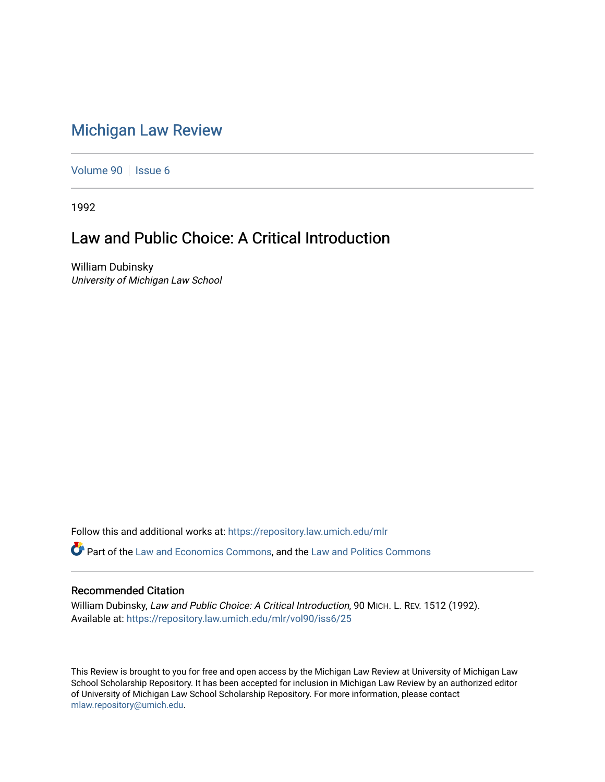## [Michigan Law Review](https://repository.law.umich.edu/mlr)

[Volume 90](https://repository.law.umich.edu/mlr/vol90) | [Issue 6](https://repository.law.umich.edu/mlr/vol90/iss6)

1992

# Law and Public Choice: A Critical Introduction

William Dubinsky University of Michigan Law School

Follow this and additional works at: [https://repository.law.umich.edu/mlr](https://repository.law.umich.edu/mlr?utm_source=repository.law.umich.edu%2Fmlr%2Fvol90%2Fiss6%2F25&utm_medium=PDF&utm_campaign=PDFCoverPages) 

Part of the [Law and Economics Commons](http://network.bepress.com/hgg/discipline/612?utm_source=repository.law.umich.edu%2Fmlr%2Fvol90%2Fiss6%2F25&utm_medium=PDF&utm_campaign=PDFCoverPages), and the [Law and Politics Commons](http://network.bepress.com/hgg/discipline/867?utm_source=repository.law.umich.edu%2Fmlr%2Fvol90%2Fiss6%2F25&utm_medium=PDF&utm_campaign=PDFCoverPages)

### Recommended Citation

William Dubinsky, Law and Public Choice: A Critical Introduction, 90 MICH. L. REV. 1512 (1992). Available at: [https://repository.law.umich.edu/mlr/vol90/iss6/25](https://repository.law.umich.edu/mlr/vol90/iss6/25?utm_source=repository.law.umich.edu%2Fmlr%2Fvol90%2Fiss6%2F25&utm_medium=PDF&utm_campaign=PDFCoverPages) 

This Review is brought to you for free and open access by the Michigan Law Review at University of Michigan Law School Scholarship Repository. It has been accepted for inclusion in Michigan Law Review by an authorized editor of University of Michigan Law School Scholarship Repository. For more information, please contact [mlaw.repository@umich.edu.](mailto:mlaw.repository@umich.edu)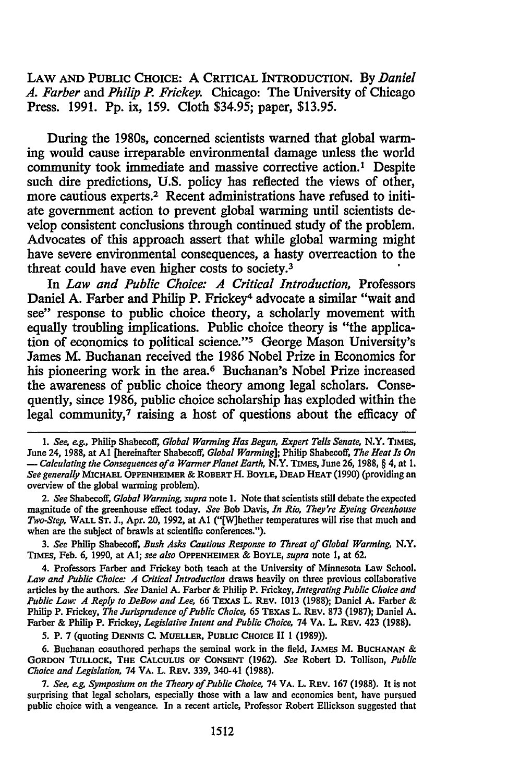LA w AND PUBLIC CHOICE: A CRITICAL INTRODUCTION. By *Daniel A. Farber* and *Philip P. Frickey.* Chicago: The University of Chicago Press. 1991. Pp. ix, 159. Cloth \$34.95; paper, \$13.95.

During the 1980s, concerned scientists warned that global warming would cause irreparable environmental damage unless the world community took immediate and massive corrective action.<sup>1</sup> Despite such dire predictions, U.S. policy has reflected the views of other, more cautious experts.2 Recent administrations have refused to initiate government action to prevent global warming until scientists develop consistent conclusions through continued study of the problem. Advocates of this approach assert that while global warming might have severe environmental consequences, a hasty overreaction to the threat could have even higher costs to society.<sup>3</sup>

In *Law and Public Choice: A Critical Introduction,* Professors Daniel A. Farber and Philip P. Frickey<sup>4</sup> advocate a similar "wait and see" response to public choice theory, a scholarly movement with equally troubling implications. Public choice theory is "the application of economics to political science."5 George Mason University's James M. Buchanan received the 1986 Nobel Prize in Economics for his pioneering work in the area.<sup>6</sup> Buchanan's Nobel Prize increased the awareness of public choice theory among legal scholars. Consequently, since 1986, public choice scholarship has exploded within the legal community, $\tau$  raising a host of questions about the efficacy of

1. *See, e.g.,* Philip Shabecoff, *Global Warming Has Begun, Expert Tells Senate,* N.Y. TIMES, June 24, 1988, at Al [hereinafter Shabecoff, *Global Warming];* Philip Shabecoff, *The Heat Is On*  - *Calculating the Cansequences of a Warmer Planet Earth,* N.Y. TIMES, June 26, 1988, § 4, at 1. *See generally* MICHAEL OPPENHEIMER & ROBERT H. BOYLE, DEAD HEAT (1990) (providing an overview of the global warming problem).

2. *See* Shabecoff, *Global Warming, supra* note 1. Note that scientists still debate the expected magnitude of the greenhouse effect today. *See* Bob Davis, *In Rio, They're Eyeing Greenhouse Two-Step,* WALL ST. J., Apr. 20, 1992, at Al ("[W]hether temperatures will rise that much and when are the subject of brawls at scientific conferences.").

3. *See* Philip Shabecoff, *Bush* Asks *Cautious Response to Threat of Global Warming,* N.Y. TIMES, Feb. 6, 1990, at Al; *see also* OPPENHEIMER & BOYLE, *supra* note 1, at 62.

4. Professors Farber and Frickey both teach at the University of Minnesota Law School. *Law and Public Choice: A Critical Introduction* draws heavily on three previous collaborative articles by the authors. *See* Daniel A. Farber & Philip P. Frickey, *Integrating Public Choice and Public Law: A Reply to DeBow and Lee,* 66 TEXAS L. REV. 1013 (1988); Daniel A. Farber & Philip P. Frickey, *The Jurisprudence of Public Choice,* 65 TEXAS L. REV. 873 (1987); Daniel A. Farber & Philip P. Frickey, *Legislative Intent and Public Choice,* 74 VA. L. REV. 423 (1988).

*5.* P. 7 (quoting DENNIS c. MUELLER, PUBLIC CHOICE II 1 (1989)).

6. Buchanan coauthored perhaps the seminal work in the field, JAMES M. BUCHANAN & GORDON TULLOCK, THE CALCULUS OF CoNSENT (1962). *See* Robert D. Tollison, *Public Choice and Legislation, 14* VA. L. REv. 339, 340-41 (1988).

7. *See, e.g. Symposium on the Theory of Public Choice, 14* VA. L. REV. 167 (1988). It is not surprising that legal scholars, especially those with a law and economics bent, have pursued public choice with a vengeance. In a recent article, Professor Robert Ellickson suggested that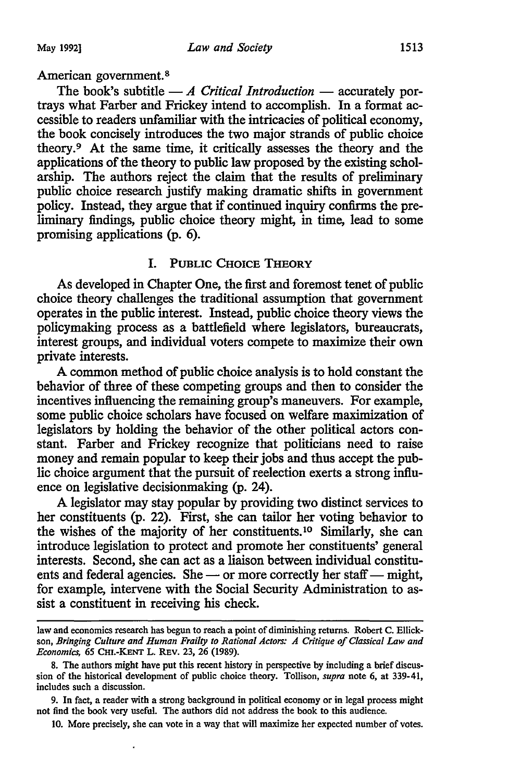American government. 8

The book's subtitle  $-A$  *Critical Introduction* — accurately portrays what Farber and Frickey intend to accomplish. In a format accessible to readers unfamiliar with the intricacies of political economy, the book concisely introduces the two major strands of public choice theory. 9 At the same time, it critically assesses the theory and the applications of the theory to public law proposed by the existing scholarship. The authors reject the claim that the results of preliminary public choice research justify making dramatic shifts in government policy. Instead, they argue that if continued inquiry confirms the preliminary findings, public choice theory might, in time, lead to some promising applications {p. 6).

### I. PUBLIC CHOICE THEORY

As developed in Chapter One, the first and foremost tenet of public choice theory challenges the traditional assumption that government operates in the public interest. Instead, public choice theory views the policymaking process as a battlefield where legislators, bureaucrats, interest groups, and individual voters compete to maximize their own private interests.

A common method of public choice analysis is to hold constant the behavior of three of these competing groups and then to consider the incentives influencing the remaining group's maneuvers. For example, some public choice scholars have focused on welfare maximization of legislators by holding the behavior of the other political actors constant. Farber and Frickey recognize that politicians need to raise money and remain popular to keep their jobs and thus accept the public choice argument that the pursuit of reelection exerts a strong influence on legislative decisionmaking {p. 24).

A legislator may stay popular by providing two distinct services to her constituents (p. 22). First, she can tailor her voting behavior to the wishes of the majority of her constituents. 10 Similarly, she can introduce legislation to protect and promote her constituents' general interests. Second, she can act as a liaison between individual constituents and federal agencies. She — or more correctly her staff — might, for example, intervene with the Social Security Administration to assist a constituent in receiving his check.

10. More precisely, she can vote in a way that will maximize her expected number of votes.

law and economics research has begun to reach a point of diminishing returns. Robert C. Ellickson, *Bringing Culture and Human Frailty to Rational Actors: A Critique of Classical Law and Economics,* 65 CHI.-KENT L. REV. 23, 26 (1989).

<sup>8.</sup> The authors might have put this recent history in perspective by including a brief discussion of the historical development of public choice theory. Tollison, *supra* note 6, at 339-41, includes such a discussion.

<sup>9.</sup> In fact, a reader with a strong background in political economy or in legal process might not find the book very useful. The authors did not address the book to this audience.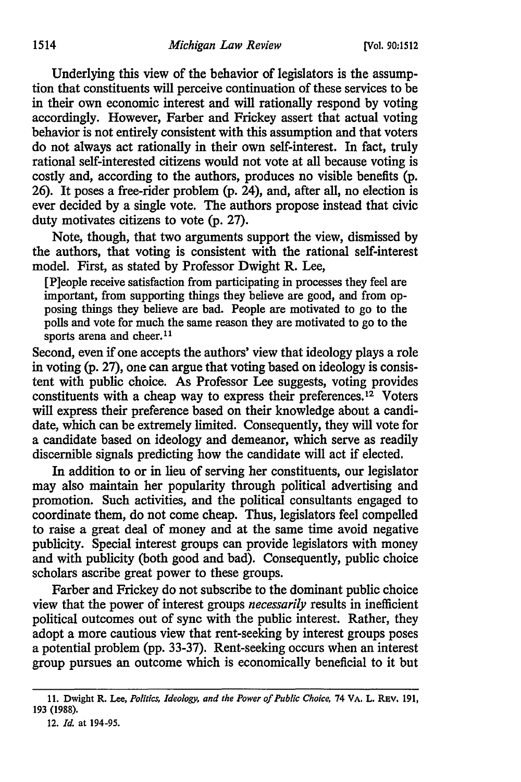Underlying this view of the behavior of legislators is the assumption that constituents will perceive continuation of these services to be in their own economic interest and will rationally respond by voting accordingly. However, Farber and Frickey assert that actual voting behavior is not entirely consistent with this assumption and that voters do not always act rationally in their own self-interest. In fact, truly rational self-interested citizens would not vote at all because voting is costly and, according to the authors, produces no visible benefits (p. 26). It poses a free-rider problem (p. 24), and, after all, no election is ever decided by a single vote. The authors propose instead that civic duty motivates citizens to vote (p. 27).

Note, though, that two arguments support the view, dismissed by the authors, that voting is consistent with the rational self-interest model. First, as stated by Professor Dwight R. Lee,

[P]eople receive satisfaction from participating in processes they feel are important, from supporting things they believe are good, and from opposing things they believe are bad. People are motivated to go to the polls and vote for much the same reason they are motivated to go to the sports arena and cheer.<sup>11</sup>

Second, even if one accepts the authors' view that ideology plays a role in voting (p. 27), one can argue that voting based on ideology is consistent with public choice. As Professor Lee suggests, voting provides constituents with a cheap way to express their preferences.<sup>12</sup> Voters will express their preference based on their knowledge about a candidate, which can be extremely limited. Consequently, they will vote for a candidate based on ideology and demeanor, which serve as readily discernible signals predicting how the candidate will act if elected.

In addition to or in lieu of serving her constituents, our legislator may also maintain her popularity through political advertising and promotion. Such activities, and the political consultants engaged to coordinate them, do not come cheap. Thus, legislators feel compelled to raise a great deal of money and at the same time avoid negative publicity. Special interest groups can provide legislators with money and with publicity (both good and bad). Consequently, public choice scholars ascribe great power to these groups.

Farber and Frickey do not subscribe to the dominant public choice view that the power of interest groups *necessarily* results in inefficient political outcomes out of sync with the public interest. Rather, they adopt a more cautious view that rent-seeking by interest groups poses a potential problem (pp. 33-37). Rent-seeking occurs when an interest group pursues an outcome which is economically beneficial to it but

<sup>11.</sup> Dwight R. Lee, *Politics, Ideology, and the Power of Public Choice,* 74 VA. L. REV. 191, 193 (1988).

<sup>12.</sup> *Id.* at 194-95.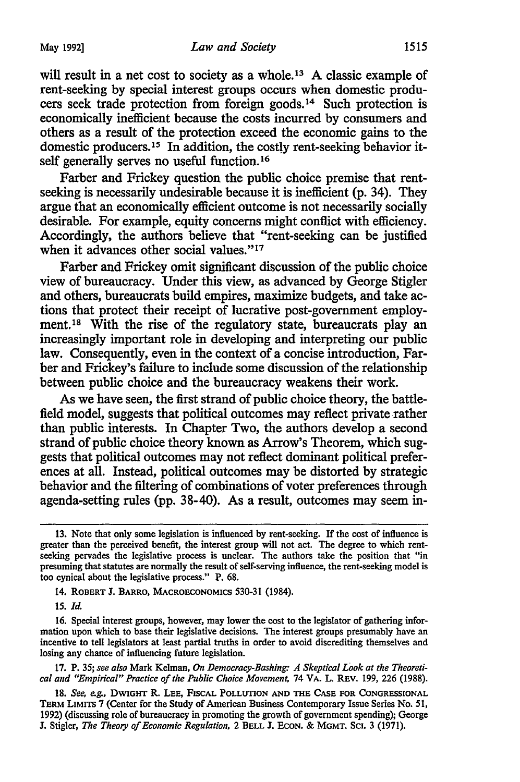will result in a net cost to society as a whole.<sup>13</sup> A classic example of rent-seeking by special interest groups occurs when domestic producers seek trade protection from foreign goods. I 4 Such protection is economically inefficient because the costs incurred by consumers and others as a result of the protection exceed the economic gains to the domestic producers.<sup>15</sup> In addition, the costly rent-seeking behavior itself generally serves no useful function.<sup>16</sup>

Farber and Frickey question the public choice premise that rentseeking is necessarily undesirable because it is inefficient (p. 34). They argue that an economically efficient outcome is not necessarily socially desirable. For example, equity concerns might conflict with efficiency. Accordingly, the authors believe that "rent-seeking can be justified when it advances other social values."<sup>17</sup>

Farber and Frickey omit significant discussion of the public choice view of bureaucracy. Under this view, as advanced by George Stigler and others, bureaucrats build empires, maximize budgets, and take actions that protect their receipt of lucrative post-government employment.<sup>18</sup> With the rise of the regulatory state, bureaucrats play an increasingly important role in developing and interpreting our public law. Consequently, even in the context of a concise introduction, Farber and Frickey's failure to include some discussion of the relationship between public choice and the bureaucracy weakens their work.

As we have seen, the first strand of public choice theory, the battlefield model, suggests that political outcomes may reflect private rather than public interests. In Chapter Two, the authors develop a second strand of public choice theory known as Arrow's Theorem, which suggests that political outcomes may not reflect dominant political preferences at all. Instead, political outcomes may be distorted by strategic behavior and the filtering of combinations of voter preferences through agenda-setting rules (pp. 38-40). As a result, outcomes may seem in-

16. Special interest groups, however, may lower the cost to the legislator of gathering information upon which to base their legislative decisions. The interest groups presumably have an incentive to tell legislators at least partial truths in order to avoid discrediting themselves and losing any chance of influencing future legislation.

17. P. 35; *see also* Mark Kelman, *On Democracy-Bashing: A Skeptical Look at the Theoretical and ''Empirical" Practice of the Public Choice Movement,* 74 VA. L. REv. 199, 226 (1988).

<sup>13.</sup> Note that only some legislation is influenced by rent-seeking. If the cost of influence is greater than the perceived benefit, the interest group will not act. The degree to which rentseeking pervades the legislative process is unclear. The authors take the position that "in presuming that statutes are normally the result of self-serving influence, the rent-seeking model is too cynical about the legislative process." P. 68.

<sup>14.</sup> ROBERT J. BARRO, MACROECONOMICS 530-31 (1984).

<sup>15.</sup> *Id.* 

<sup>18.</sup> See, e.g., DWIGHT R. LEE, FISCAL POLLUTION AND THE CASE FOR CONGRESSIONAL TERM LIMITS 7 (Center for the Study of American Business Contemporary Issue Series No. 51, 1992) (discussing role of bureaucracy in promoting the growth of government spending); George J. Stigler, *The Theory of Economic Regulation,* 2 BELL J. EcoN. & MGMT. ScI. 3 (1971).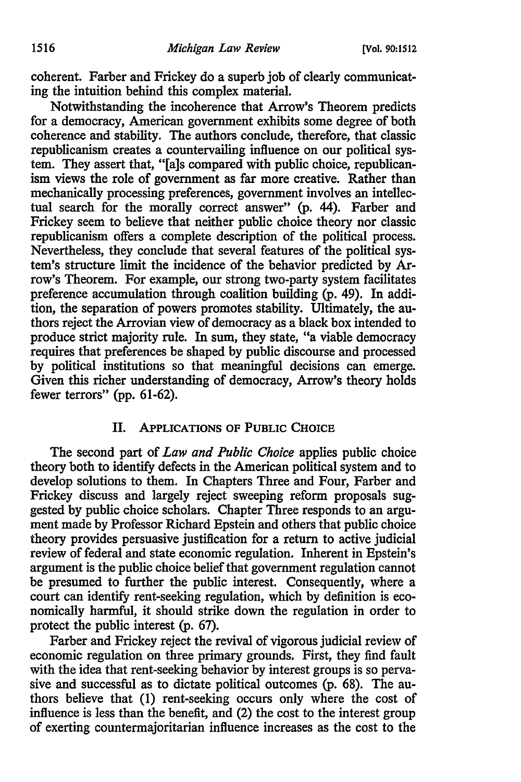coherent. Farber and Frickey do a superb job of clearly communicating the intuition behind this complex material.

Notwithstanding the incoherence that Arrow's Theorem predicts for a democracy, American government exhibits some degree of both coherence and stability. The authors conclude, therefore, that classic republicanism creates a countervailing influence on our political system. They assert that, "[a]s compared with public choice, republicanism views the role of government as far more creative. Rather than mechanically processing preferences, government involves an intellectual search for the morally correct answer" (p. 44). Farber and Frickey seem to believe that neither public choice theory nor classic republicanism offers a complete description of the political process. Nevertheless, they conclude that several features of the political system's structure limit the incidence of the behavior predicted by Arrow's Theorem. For example, our strong two-party system facilitates preference accumulation through coalition building (p. 49). In addition, the separation of powers promotes stability. Ultimately, the authors reject the Arrovian view of democracy as a black box intended to produce strict majority rule. In sum, they state, "a viable democracy requires that preferences be shaped by public discourse and processed by political institutions so that meaningful decisions can emerge. Given this richer understanding of democracy, Arrow's theory holds fewer terrors" (pp. 61-62).

### II. APPLICATIONS OF PUBLIC CHOICE

The second part of *Law and Public Choice* applies public choice theory both to identify defects in the American political system and to develop solutions to them. In Chapters Three and Four, Farber and Frickey discuss and largely reject sweeping reform proposals suggested by public choice scholars. Chapter Three responds to an argument made by Professor Richard Epstein and others that public choice theory provides persuasive justification for a return to active judicial review of federal and state economic regulation. Inherent in Epstein's argument is the public choice belief that government regulation cannot be presumed to further the public interest. Consequently, where a court can identify rent-seeking regulation, which by definition is economically harmful, it should strike down the regulation in order to protect the public interest (p. 67).

Farber and Frickey reject the revival of vigorous judicial review of economic regulation on three primary grounds. First, they find fault with the idea that rent-seeking behavior by interest groups is so pervasive and successful as to dictate political outcomes (p. 68). The authors believe that (1) rent-seeking occurs only where the cost of influence is less than the benefit, and (2) the cost to the interest group of exerting countermajoritarian influence increases as the cost to the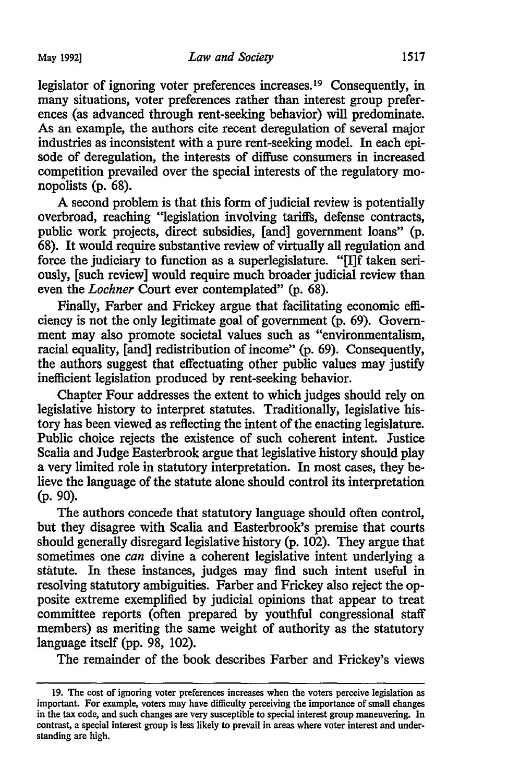legislator of ignoring voter preferences increases. 19 Consequently, in many situations, voter preferences rather than interest group preferences (as advanced through rent-seeking behavior) will predominate. As an example, the authors cite recent deregulation of several major industries as inconsistent with a pure rent-seeking model. In each episode of deregulation, the interests of diffuse consumers in increased competition prevailed over the special interests of the regulatory monopolists (p. 68).

A second problem is that this form of judicial review is potentially overbroad, reaching "legislation involving tariffs, defense contracts, public work projects, direct subsidies, [and] government loans" (p. 68). It would require substantive review of virtually all regulation and force the judiciary to function as a superlegislature. "[I]f taken seriously, [such review] would require much broader judicial review than even the *Lochner* Court ever contemplated" (p. 68).

Finally, Farber and Frickey argue that facilitating economic efficiency is not the only legitimate goal of government (p. 69). Government may also promote societal values such as "environmentalism, racial equality, [and] redistribution of income" (p. 69). Consequently, the authors suggest that effectuating other public values may justify inefficient legislation produced by rent-seeking behavior.

Chapter Four addresses the extent to which judges should rely on legislative history to interpret statutes. Traditionally, legislative history has been viewed as reflecting the intent of the enacting legislature. Public choice rejects the existence of such coherent intent. Justice Scalia and Judge Easterbrook argue that legislative history should play a very limited role in statutory interpretation. In most cases, they believe the language of the statute alone should control its interpretation (p. 90).

The authors concede that statutory language should often control, but they disagree with Scalia and Easterbrook's premise that courts should generally disregard legislative history (p. 102). They argue that sometimes one *can* divine a coherent legislative intent underlying a statute. In these instances, judges may find such intent useful in resolving statutory ambiguities. Farber and Frickey also reject the opposite extreme exemplified by judicial opinions that appear to treat committee reports (often prepared by youthful congressional staff members) as meriting the same weight of authority as the statutory language itself (pp. 98, 102).

The remainder of the book describes Farber and Frickey's views

<sup>19.</sup> The cost of ignoring voter preferences increases when the voters perceive legislation as important. For example, voters may have difficulty perceiving the importance of small changes in the tax code, and such changes are very susceptible to special interest group maneuvering. In contrast, a special interest group is less likely to prevail in areas where voter interest and understanding are high.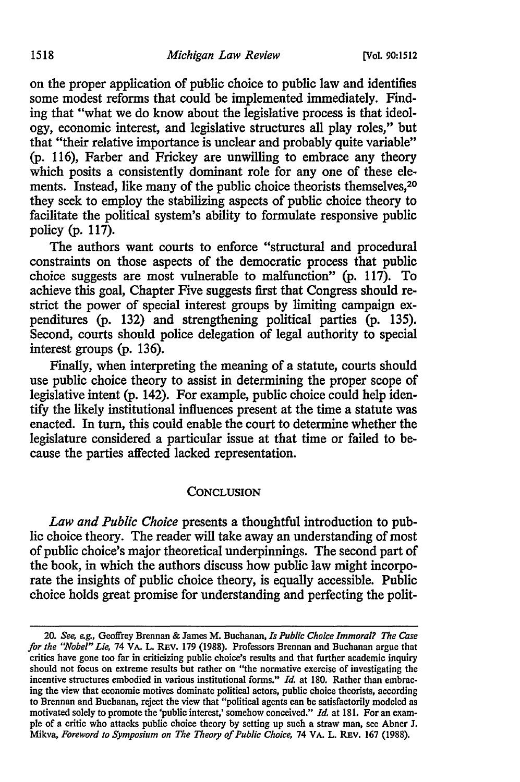on the proper application of public choice to public law and identifies some modest reforms that could be implemented immediately. Finding that "what we do know about the legislative process is that ideology, economic interest, and legislative structures all play roles," but that "their relative importance is unclear and probably quite variable" (p. 116), Farber and Frickey are unwilling to embrace any theory which posits a consistently dominant role for any one of these elements. Instead, like many of the public choice theorists themselves,<sup>20</sup> they seek to employ the stabilizing aspects of public choice theory to facilitate the political system's ability to formulate responsive public policy (p. 117).

The authors want courts to enforce "structural and procedural constraints on those aspects of the democratic process that public choice suggests are most vulnerable to malfunction" (p. 117). To achieve this goal, Chapter Five suggests first that Congress should restrict the power of special interest groups by limiting campaign expenditures (p. 132) and strengthening political parties (p. 135). Second, courts should police delegation of legal authority to special interest groups (p. 136).

Finally, when interpreting the meaning of a statute, courts should use public choice theory to assist in determining the proper scope of legislative intent (p. 142). For example, public choice could help identify the likely institutional influences present at the time a statute was enacted. In tum, this could enable the court to determine whether the legislature considered a particular issue at that time or failed to because the parties affected lacked representation.

#### CONCLUSION

*Law and Public Choice* presents a thoughtful introduction to public choice theory. The reader will take away an understanding of most of public choice's major theoretical underpinnings. The second part of the book, in which the authors discuss how public law might incorporate the insights of public choice theory, is equally accessible. Public choice holds great promise for understanding and perfecting the polit-

<sup>20.</sup> *See, e.g.,* Geoffrey Brennan & James M. Buchanan, *Is Public Choice Immoral? The Case for the "Nobel" Lie,* 74 VA. L. REv. 179 (1988). Professors Brennan and Buchanan argue that critics have gone too far in criticizing public choice's results and that further academic inquiry should not focus on extreme results but rather on "the normative exercise of investigating the incentive structures embodied in various institutional forms." *Id.* at 180. Rather than embracing the view that economic motives dominate political actors, public choice theorists, according to Brennan and Buchanan, reject the view that "political agents can be satisfactorily modeled as motivated solely to promote the 'public interest,' somehow conceived." *Id.* at 181. For an example of a critic who attacks public choice theory by setting up such a straw man, see Abner J. Mikva, *Foreword to Symposium on The Theory of Public Choice,* 74 VA. L. REv. 167 (1988).